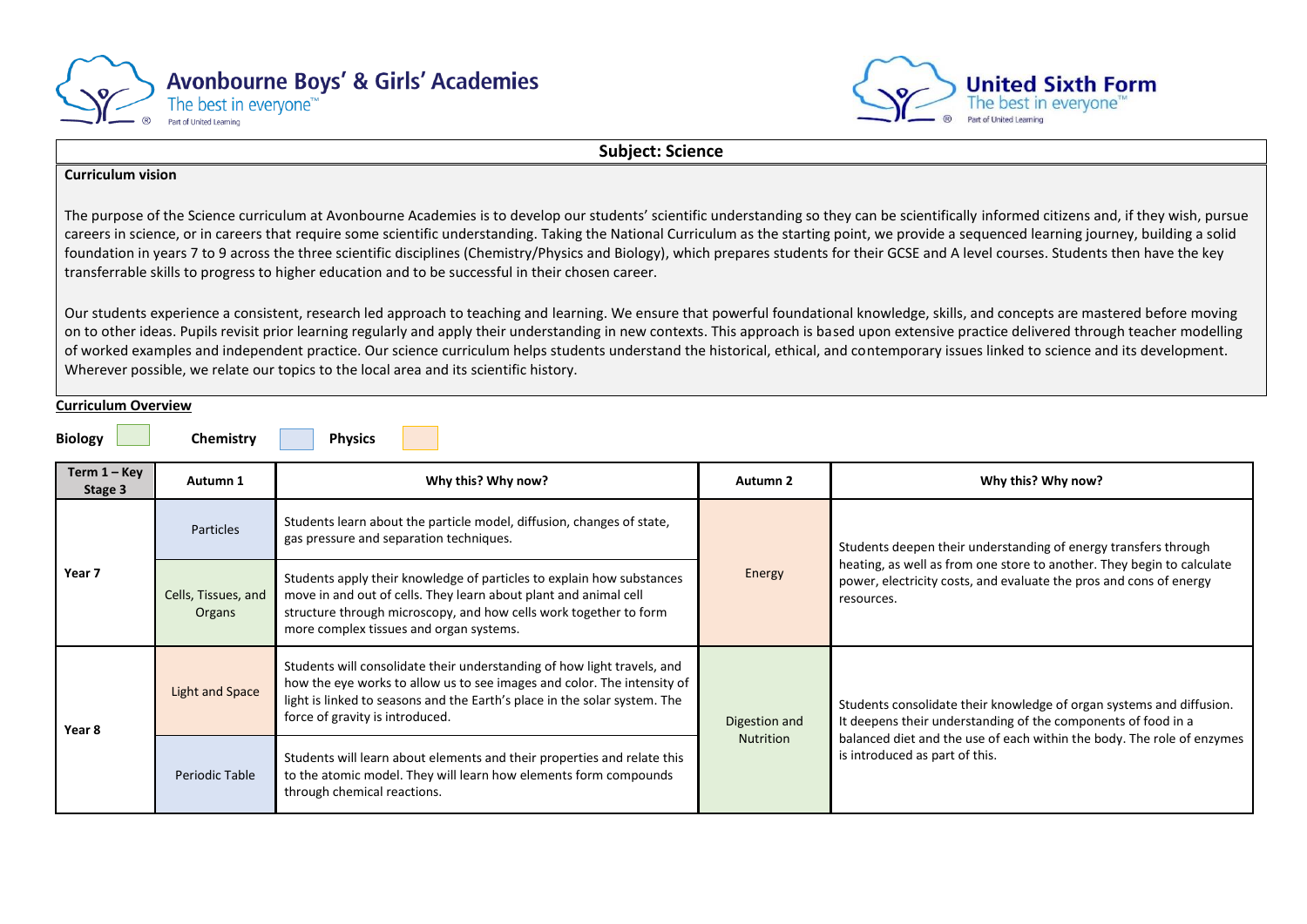



**Subject: Science**

## **Curriculum vision**

The purpose of the Science curriculum at Avonbourne Academies is to develop our students' scientific understanding so they can be scientifically informed citizens and, if they wish, pursue careers in science, or in careers that require some scientific understanding. Taking the National Curriculum as the starting point, we provide a sequenced learning journey, building a solid foundation in years 7 to 9 across the three scientific disciplines (Chemistry/Physics and Biology), which prepares students for their GCSE and A level courses. Students then have the key transferrable skills to progress to higher education and to be successful in their chosen career.

Our students experience a consistent, research led approach to teaching and learning. We ensure that powerful foundational knowledge, skills, and concepts are mastered before moving on to other ideas. Pupils revisit prior learning regularly and apply their understanding in new contexts. This approach is based upon extensive practice delivered through teacher modelling of worked examples and independent practice. Our science curriculum helps students understand the historical, ethical, and contemporary issues linked to science and its development. Wherever possible, we relate our topics to the local area and its scientific history.

### **Curriculum Overview**

**Biology Chemistry Physics** 

| Term $1 -$ Key<br>Stage 3 | Autumn 1                      | Why this? Why now?                                                                                                                                                                                                                                                 | Autumn 2         | Why this? Why now?                                                                                                                                         |
|---------------------------|-------------------------------|--------------------------------------------------------------------------------------------------------------------------------------------------------------------------------------------------------------------------------------------------------------------|------------------|------------------------------------------------------------------------------------------------------------------------------------------------------------|
|                           | <b>Particles</b>              | Students learn about the particle model, diffusion, changes of state,<br>gas pressure and separation techniques.                                                                                                                                                   | Energy           | Students deepen their understanding of energy transfers through                                                                                            |
| Year 7                    | Cells, Tissues, and<br>Organs | Students apply their knowledge of particles to explain how substances<br>move in and out of cells. They learn about plant and animal cell<br>structure through microscopy, and how cells work together to form<br>more complex tissues and organ systems.          |                  | heating, as well as from one store to another. They begin to calculate<br>power, electricity costs, and evaluate the pros and cons of energy<br>resources. |
| Year 8                    | <b>Light and Space</b>        | Students will consolidate their understanding of how light travels, and<br>how the eye works to allow us to see images and color. The intensity of<br>light is linked to seasons and the Earth's place in the solar system. The<br>force of gravity is introduced. | Digestion and    |                                                                                                                                                            |
|                           | Periodic Table                | Students will learn about elements and their properties and relate this<br>to the atomic model. They will learn how elements form compounds<br>through chemical reactions.                                                                                         | <b>Nutrition</b> | balanced diet and the use of each within the body. The role of enzymes<br>is introduced as part of this.                                                   |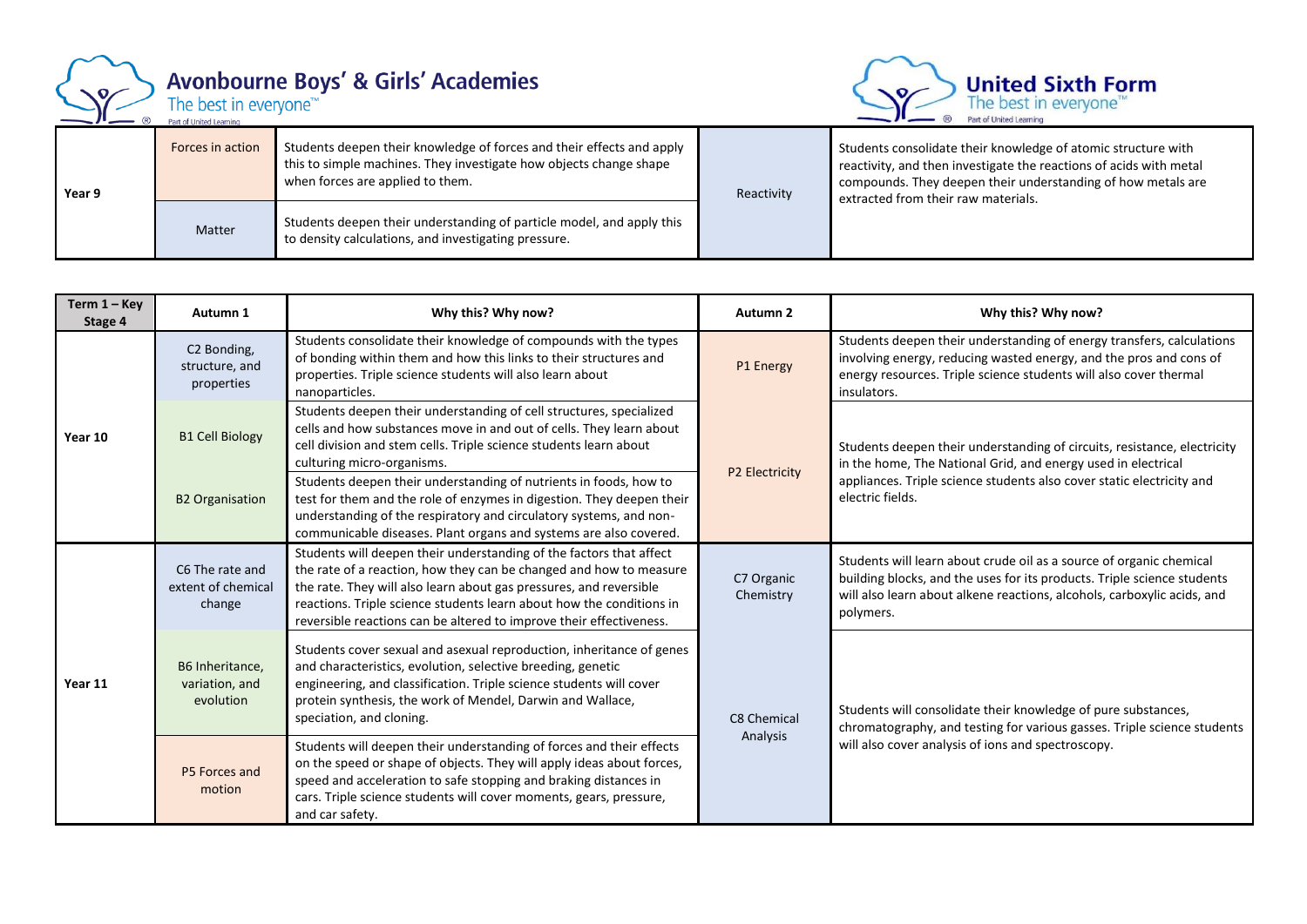

when forces are applied to them.

Matter Students deepen their understanding of particle model, and apply this to density calculations, and investigating pressure.

**Year 9**



Students consolidate their knowledge of atomic structure with reactivity, and then investigate the reactions of acids with metal compounds. They deepen their understanding of how metals are extracted from their raw materials.

| Term $1 -$ Key<br>Stage 4 | Autumn 1                                                | Why this? Why now?                                                                                                                                                                                                                                                                                                                                             | Autumn 2                | Why this? Why now?                                                                                                                                                                                                                     |
|---------------------------|---------------------------------------------------------|----------------------------------------------------------------------------------------------------------------------------------------------------------------------------------------------------------------------------------------------------------------------------------------------------------------------------------------------------------------|-------------------------|----------------------------------------------------------------------------------------------------------------------------------------------------------------------------------------------------------------------------------------|
|                           | C <sub>2</sub> Bonding,<br>structure, and<br>properties | Students consolidate their knowledge of compounds with the types<br>of bonding within them and how this links to their structures and<br>properties. Triple science students will also learn about<br>nanoparticles.                                                                                                                                           | P1 Energy               | Students deepen their understanding of energy transfers, calculations<br>involving energy, reducing wasted energy, and the pros and cons of<br>energy resources. Triple science students will also cover thermal<br>insulators.        |
| Year 10                   | <b>B1 Cell Biology</b>                                  | Students deepen their understanding of cell structures, specialized<br>cells and how substances move in and out of cells. They learn about<br>cell division and stem cells. Triple science students learn about<br>culturing micro-organisms.                                                                                                                  |                         | Students deepen their understanding of circuits, resistance, electricity<br>in the home, The National Grid, and energy used in electrical<br>appliances. Triple science students also cover static electricity and<br>electric fields. |
|                           | <b>B2 Organisation</b>                                  | Students deepen their understanding of nutrients in foods, how to<br>test for them and the role of enzymes in digestion. They deepen their<br>understanding of the respiratory and circulatory systems, and non-<br>communicable diseases. Plant organs and systems are also covered.                                                                          | P2 Electricity          |                                                                                                                                                                                                                                        |
|                           | C6 The rate and<br>extent of chemical<br>change         | Students will deepen their understanding of the factors that affect<br>the rate of a reaction, how they can be changed and how to measure<br>the rate. They will also learn about gas pressures, and reversible<br>reactions. Triple science students learn about how the conditions in<br>reversible reactions can be altered to improve their effectiveness. | C7 Organic<br>Chemistry | Students will learn about crude oil as a source of organic chemical<br>building blocks, and the uses for its products. Triple science students<br>will also learn about alkene reactions, alcohols, carboxylic acids, and<br>polymers. |
| Year 11                   | B6 Inheritance,<br>variation, and<br>evolution          | Students cover sexual and asexual reproduction, inheritance of genes<br>and characteristics, evolution, selective breeding, genetic<br>engineering, and classification. Triple science students will cover<br>protein synthesis, the work of Mendel, Darwin and Wallace,<br>speciation, and cloning.                                                           | C8 Chemical             | Students will consolidate their knowledge of pure substances,<br>chromatography, and testing for various gasses. Triple science students<br>will also cover analysis of ions and spectroscopy.                                         |
|                           | P5 Forces and<br>motion                                 | Students will deepen their understanding of forces and their effects<br>on the speed or shape of objects. They will apply ideas about forces,<br>speed and acceleration to safe stopping and braking distances in<br>cars. Triple science students will cover moments, gears, pressure,<br>and car safety.                                                     | Analysis                |                                                                                                                                                                                                                                        |

Reactivity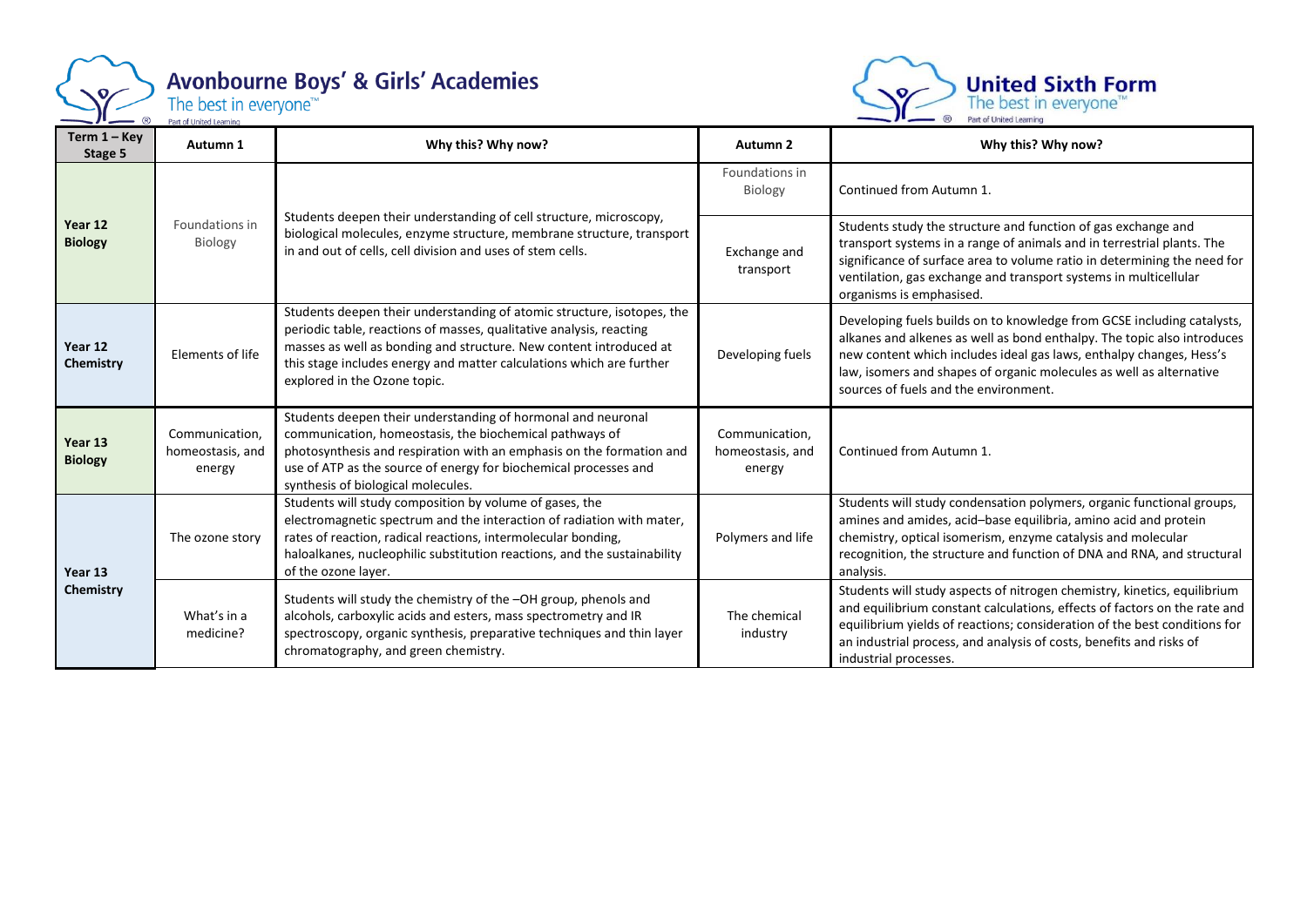

# Avonbourne Boys' & Girls' Academies<br>The best in everyone<sup>16</sup>



| Term $1 -$ Key<br>Stage 5 | Autumn 1                                                                                                                                                                                                                               | Why this? Why now?                                                                                                                                                                                                                                                                                                          | Autumn 2                                     | Why this? Why now?                                                                                                                                                                                                                                                                                                                       |
|---------------------------|----------------------------------------------------------------------------------------------------------------------------------------------------------------------------------------------------------------------------------------|-----------------------------------------------------------------------------------------------------------------------------------------------------------------------------------------------------------------------------------------------------------------------------------------------------------------------------|----------------------------------------------|------------------------------------------------------------------------------------------------------------------------------------------------------------------------------------------------------------------------------------------------------------------------------------------------------------------------------------------|
|                           |                                                                                                                                                                                                                                        |                                                                                                                                                                                                                                                                                                                             | Foundations in<br>Biology                    | Continued from Autumn 1.                                                                                                                                                                                                                                                                                                                 |
| Year 12<br><b>Biology</b> | Students deepen their understanding of cell structure, microscopy,<br>Foundations in<br>biological molecules, enzyme structure, membrane structure, transport<br>Biology<br>in and out of cells, cell division and uses of stem cells. |                                                                                                                                                                                                                                                                                                                             | Exchange and<br>transport                    | Students study the structure and function of gas exchange and<br>transport systems in a range of animals and in terrestrial plants. The<br>significance of surface area to volume ratio in determining the need for<br>ventilation, gas exchange and transport systems in multicellular<br>organisms is emphasised.                      |
| Year 12<br>Chemistry      | Elements of life                                                                                                                                                                                                                       | Students deepen their understanding of atomic structure, isotopes, the<br>periodic table, reactions of masses, qualitative analysis, reacting<br>masses as well as bonding and structure. New content introduced at<br>this stage includes energy and matter calculations which are further<br>explored in the Ozone topic. | Developing fuels                             | Developing fuels builds on to knowledge from GCSE including catalysts,<br>alkanes and alkenes as well as bond enthalpy. The topic also introduces<br>new content which includes ideal gas laws, enthalpy changes, Hess's<br>law, isomers and shapes of organic molecules as well as alternative<br>sources of fuels and the environment. |
| Year 13<br><b>Biology</b> | Communication,<br>homeostasis, and<br>energy                                                                                                                                                                                           | Students deepen their understanding of hormonal and neuronal<br>communication, homeostasis, the biochemical pathways of<br>photosynthesis and respiration with an emphasis on the formation and<br>use of ATP as the source of energy for biochemical processes and<br>synthesis of biological molecules.                   | Communication,<br>homeostasis, and<br>energy | Continued from Autumn 1.                                                                                                                                                                                                                                                                                                                 |
| Year 13                   | The ozone story                                                                                                                                                                                                                        | Students will study composition by volume of gases, the<br>electromagnetic spectrum and the interaction of radiation with mater,<br>rates of reaction, radical reactions, intermolecular bonding,<br>haloalkanes, nucleophilic substitution reactions, and the sustainability<br>of the ozone layer.                        | Polymers and life                            | Students will study condensation polymers, organic functional groups,<br>amines and amides, acid-base equilibria, amino acid and protein<br>chemistry, optical isomerism, enzyme catalysis and molecular<br>recognition, the structure and function of DNA and RNA, and structural<br>analysis.                                          |
| Chemistry                 | What's in a<br>medicine?                                                                                                                                                                                                               | Students will study the chemistry of the -OH group, phenols and<br>alcohols, carboxylic acids and esters, mass spectrometry and IR<br>spectroscopy, organic synthesis, preparative techniques and thin layer<br>chromatography, and green chemistry.                                                                        | The chemical<br>industry                     | Students will study aspects of nitrogen chemistry, kinetics, equilibrium<br>and equilibrium constant calculations, effects of factors on the rate and<br>equilibrium yields of reactions; consideration of the best conditions for<br>an industrial process, and analysis of costs, benefits and risks of<br>industrial processes.       |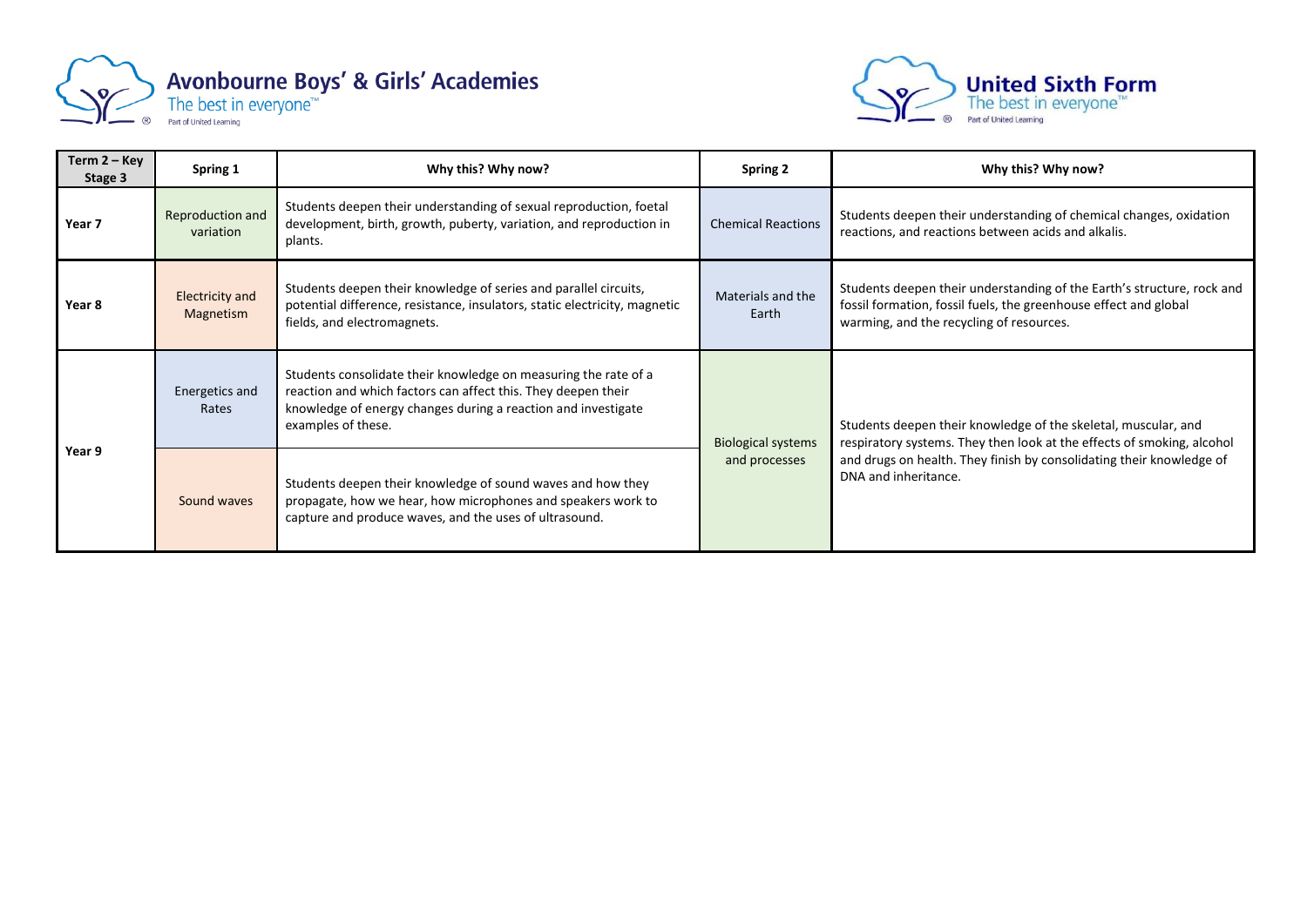



| Term $2 - Key$<br>Stage 3 | Spring 1                            | Why this? Why now?                                                                                                                                                                                                      | <b>Spring 2</b>            | Why this? Why now?                                                                                                                                                                     |
|---------------------------|-------------------------------------|-------------------------------------------------------------------------------------------------------------------------------------------------------------------------------------------------------------------------|----------------------------|----------------------------------------------------------------------------------------------------------------------------------------------------------------------------------------|
| Year 7                    | Reproduction and<br>variation       | Students deepen their understanding of sexual reproduction, foetal<br>development, birth, growth, puberty, variation, and reproduction in<br>plants.                                                                    | <b>Chemical Reactions</b>  | Students deepen their understanding of chemical changes, oxidation<br>reactions, and reactions between acids and alkalis.                                                              |
| Year 8                    | <b>Electricity and</b><br>Magnetism | Students deepen their knowledge of series and parallel circuits,<br>potential difference, resistance, insulators, static electricity, magnetic<br>fields, and electromagnets.                                           | Materials and the<br>Earth | Students deepen their understanding of the Earth's structure, rock and<br>fossil formation, fossil fuels, the greenhouse effect and global<br>warming, and the recycling of resources. |
|                           | Energetics and<br>Rates             | Students consolidate their knowledge on measuring the rate of a<br>reaction and which factors can affect this. They deepen their<br>knowledge of energy changes during a reaction and investigate<br>examples of these. | <b>Biological systems</b>  | Students deepen their knowledge of the skeletal, muscular, and<br>respiratory systems. They then look at the effects of smoking, alcohol                                               |
| Year 9                    | Sound waves                         | Students deepen their knowledge of sound waves and how they<br>propagate, how we hear, how microphones and speakers work to<br>capture and produce waves, and the uses of ultrasound.                                   | and processes              | and drugs on health. They finish by consolidating their knowledge of<br>DNA and inheritance.                                                                                           |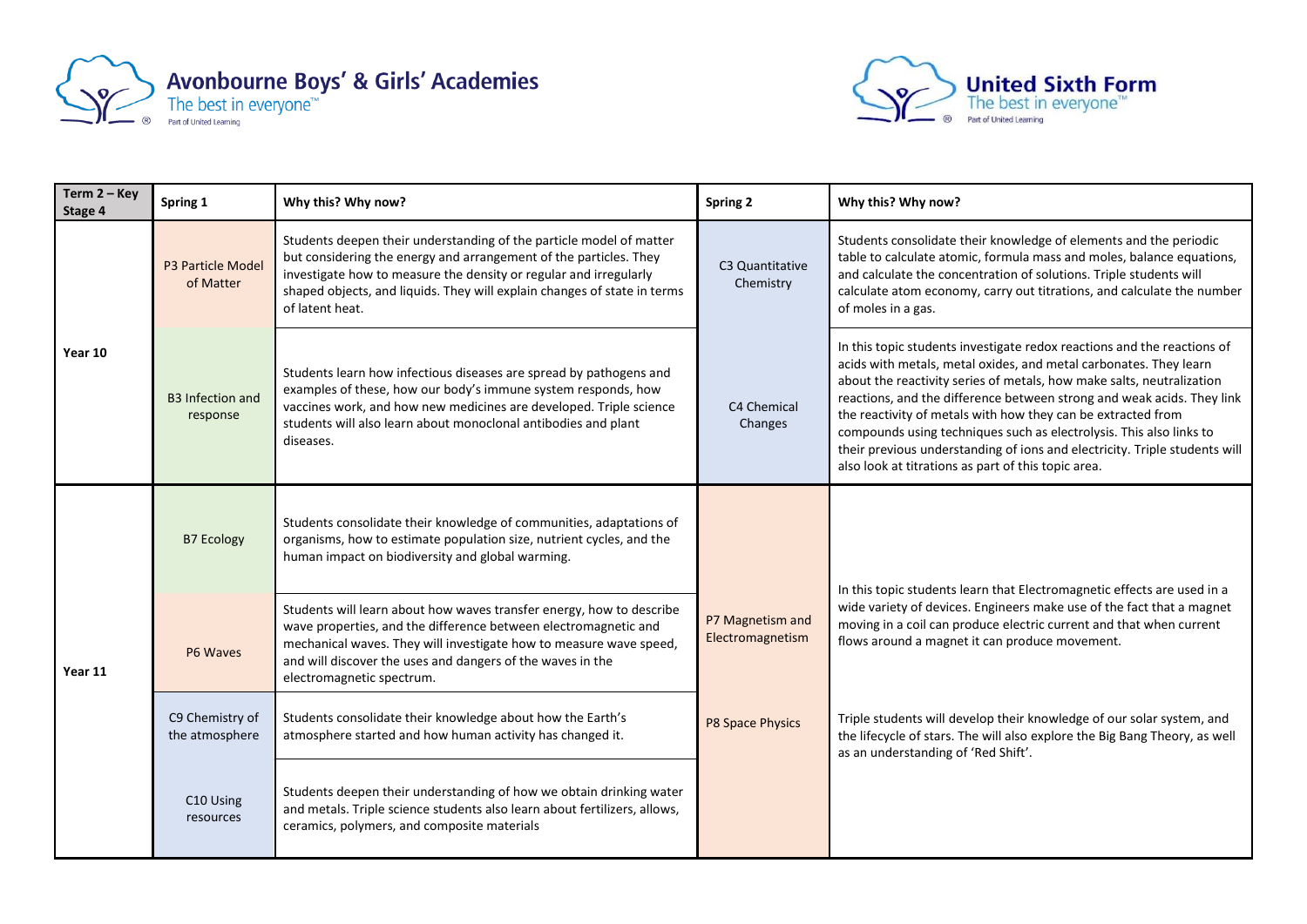



| Term $2 - Key$<br>Stage 4 | Spring 1                              | Why this? Why now?                                                                                                                                                                                                                                                                                           | Spring 2                             | Why this? Why now?                                                                                                                                                                                                                                                                                                                                                                                                                                                                                                                                                          |
|---------------------------|---------------------------------------|--------------------------------------------------------------------------------------------------------------------------------------------------------------------------------------------------------------------------------------------------------------------------------------------------------------|--------------------------------------|-----------------------------------------------------------------------------------------------------------------------------------------------------------------------------------------------------------------------------------------------------------------------------------------------------------------------------------------------------------------------------------------------------------------------------------------------------------------------------------------------------------------------------------------------------------------------------|
|                           | <b>P3 Particle Model</b><br>of Matter | Students deepen their understanding of the particle model of matter<br>but considering the energy and arrangement of the particles. They<br>investigate how to measure the density or regular and irregularly<br>shaped objects, and liquids. They will explain changes of state in terms<br>of latent heat. |                                      | Students consolidate their knowledge of elements and the periodic<br>table to calculate atomic, formula mass and moles, balance equations,<br>and calculate the concentration of solutions. Triple students will<br>calculate atom economy, carry out titrations, and calculate the number<br>of moles in a gas.                                                                                                                                                                                                                                                            |
| Year 10                   | <b>B3</b> Infection and<br>response   | Students learn how infectious diseases are spread by pathogens and<br>examples of these, how our body's immune system responds, how<br>vaccines work, and how new medicines are developed. Triple science<br>students will also learn about monoclonal antibodies and plant<br>diseases.                     | C4 Chemical<br>Changes               | In this topic students investigate redox reactions and the reactions of<br>acids with metals, metal oxides, and metal carbonates. They learn<br>about the reactivity series of metals, how make salts, neutralization<br>reactions, and the difference between strong and weak acids. They link<br>the reactivity of metals with how they can be extracted from<br>compounds using techniques such as electrolysis. This also links to<br>their previous understanding of ions and electricity. Triple students will<br>also look at titrations as part of this topic area. |
|                           | <b>B7 Ecology</b>                     | Students consolidate their knowledge of communities, adaptations of<br>organisms, how to estimate population size, nutrient cycles, and the<br>human impact on biodiversity and global warming.                                                                                                              |                                      | In this topic students learn that Electromagnetic effects are used in a                                                                                                                                                                                                                                                                                                                                                                                                                                                                                                     |
| Year 11                   | P6 Waves                              | Students will learn about how waves transfer energy, how to describe<br>wave properties, and the difference between electromagnetic and<br>mechanical waves. They will investigate how to measure wave speed,<br>and will discover the uses and dangers of the waves in the<br>electromagnetic spectrum.     | P7 Magnetism and<br>Electromagnetism | wide variety of devices. Engineers make use of the fact that a magnet<br>moving in a coil can produce electric current and that when current<br>flows around a magnet it can produce movement.                                                                                                                                                                                                                                                                                                                                                                              |
|                           | C9 Chemistry of<br>the atmosphere     | Students consolidate their knowledge about how the Earth's<br>atmosphere started and how human activity has changed it.                                                                                                                                                                                      | P8 Space Physics                     | Triple students will develop their knowledge of our solar system, and<br>the lifecycle of stars. The will also explore the Big Bang Theory, as well<br>as an understanding of 'Red Shift'.                                                                                                                                                                                                                                                                                                                                                                                  |
|                           | C10 Using<br>resources                | Students deepen their understanding of how we obtain drinking water<br>and metals. Triple science students also learn about fertilizers, allows,<br>ceramics, polymers, and composite materials                                                                                                              |                                      |                                                                                                                                                                                                                                                                                                                                                                                                                                                                                                                                                                             |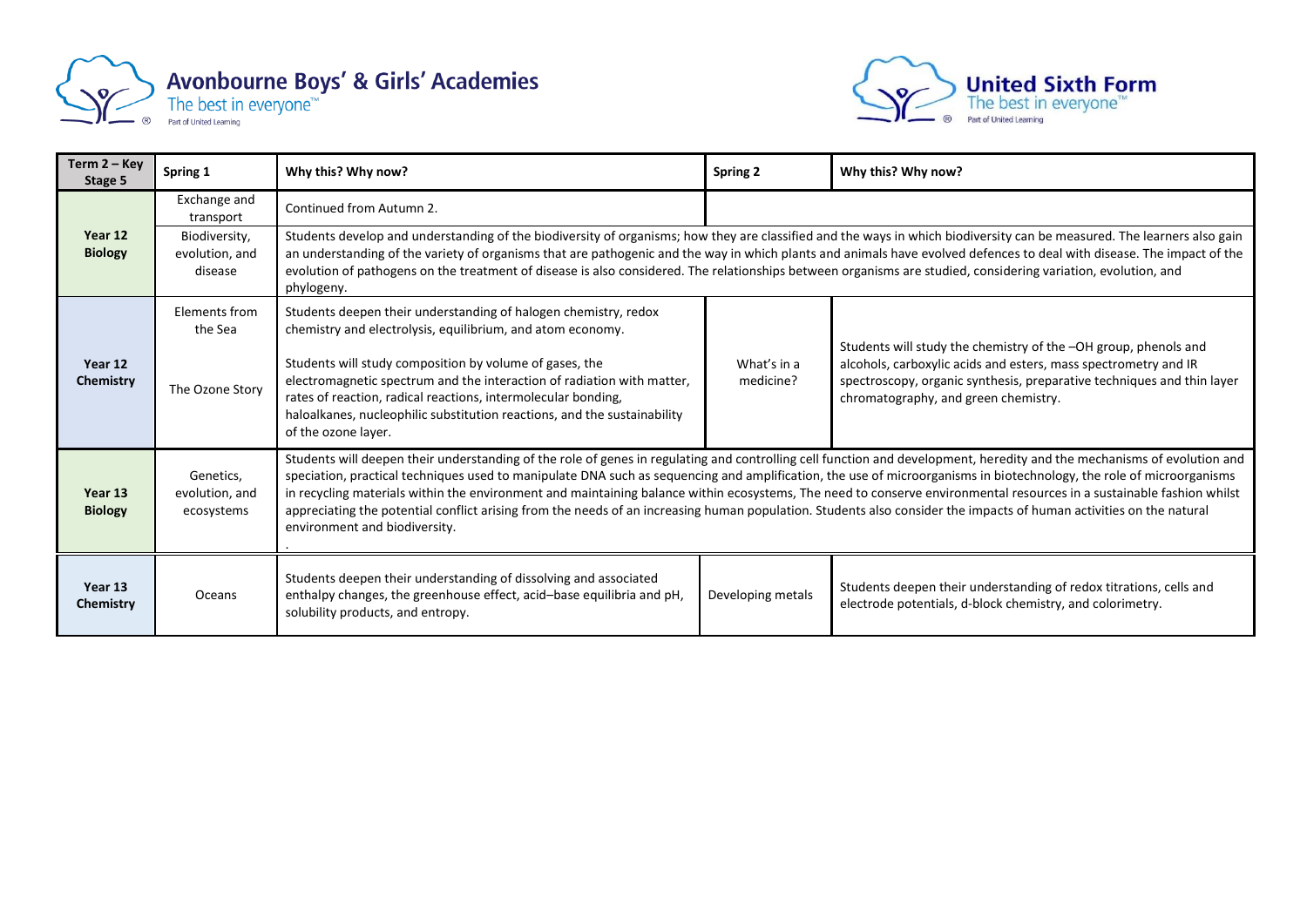



| Term $2 - Key$<br>Stage 5 | Spring 1                                   | Why this? Why now?                                                                                                                                                                                                                                                                                                                                                                                                                                                                                                                                                                                                                                                                                                               | Spring 2                                                                                                                                                                                                                                                                                                                                                                                                                                                                                                           | Why this? Why now?                                                                                                                                                                                                                                   |  |  |
|---------------------------|--------------------------------------------|----------------------------------------------------------------------------------------------------------------------------------------------------------------------------------------------------------------------------------------------------------------------------------------------------------------------------------------------------------------------------------------------------------------------------------------------------------------------------------------------------------------------------------------------------------------------------------------------------------------------------------------------------------------------------------------------------------------------------------|--------------------------------------------------------------------------------------------------------------------------------------------------------------------------------------------------------------------------------------------------------------------------------------------------------------------------------------------------------------------------------------------------------------------------------------------------------------------------------------------------------------------|------------------------------------------------------------------------------------------------------------------------------------------------------------------------------------------------------------------------------------------------------|--|--|
|                           | Exchange and<br>transport                  | Continued from Autumn 2.                                                                                                                                                                                                                                                                                                                                                                                                                                                                                                                                                                                                                                                                                                         |                                                                                                                                                                                                                                                                                                                                                                                                                                                                                                                    |                                                                                                                                                                                                                                                      |  |  |
| Year 12<br><b>Biology</b> | Biodiversity,<br>evolution, and<br>disease | phylogeny.                                                                                                                                                                                                                                                                                                                                                                                                                                                                                                                                                                                                                                                                                                                       | Students develop and understanding of the biodiversity of organisms; how they are classified and the ways in which biodiversity can be measured. The learners also gain<br>an understanding of the variety of organisms that are pathogenic and the way in which plants and animals have evolved defences to deal with disease. The impact of the<br>evolution of pathogens on the treatment of disease is also considered. The relationships between organisms are studied, considering variation, evolution, and |                                                                                                                                                                                                                                                      |  |  |
|                           | Elements from<br>the Sea                   | Students deepen their understanding of halogen chemistry, redox<br>chemistry and electrolysis, equilibrium, and atom economy.                                                                                                                                                                                                                                                                                                                                                                                                                                                                                                                                                                                                    |                                                                                                                                                                                                                                                                                                                                                                                                                                                                                                                    |                                                                                                                                                                                                                                                      |  |  |
| Year 12<br>Chemistry      | The Ozone Story                            | Students will study composition by volume of gases, the<br>electromagnetic spectrum and the interaction of radiation with matter,<br>rates of reaction, radical reactions, intermolecular bonding,<br>haloalkanes, nucleophilic substitution reactions, and the sustainability<br>of the ozone layer.                                                                                                                                                                                                                                                                                                                                                                                                                            | What's in a<br>medicine?                                                                                                                                                                                                                                                                                                                                                                                                                                                                                           | Students will study the chemistry of the -OH group, phenols and<br>alcohols, carboxylic acids and esters, mass spectrometry and IR<br>spectroscopy, organic synthesis, preparative techniques and thin layer<br>chromatography, and green chemistry. |  |  |
| Year 13<br><b>Biology</b> | Genetics,<br>evolution, and<br>ecosystems  | Students will deepen their understanding of the role of genes in regulating and controlling cell function and development, heredity and the mechanisms of evolution and<br>speciation, practical techniques used to manipulate DNA such as sequencing and amplification, the use of microorganisms in biotechnology, the role of microorganisms<br>in recycling materials within the environment and maintaining balance within ecosystems, The need to conserve environmental resources in a sustainable fashion whilst<br>appreciating the potential conflict arising from the needs of an increasing human population. Students also consider the impacts of human activities on the natural<br>environment and biodiversity. |                                                                                                                                                                                                                                                                                                                                                                                                                                                                                                                    |                                                                                                                                                                                                                                                      |  |  |
| Year 13<br>Chemistry      | Oceans                                     | Students deepen their understanding of dissolving and associated<br>enthalpy changes, the greenhouse effect, acid-base equilibria and pH,<br>solubility products, and entropy.                                                                                                                                                                                                                                                                                                                                                                                                                                                                                                                                                   | Developing metals                                                                                                                                                                                                                                                                                                                                                                                                                                                                                                  | Students deepen their understanding of redox titrations, cells and<br>electrode potentials, d-block chemistry, and colorimetry.                                                                                                                      |  |  |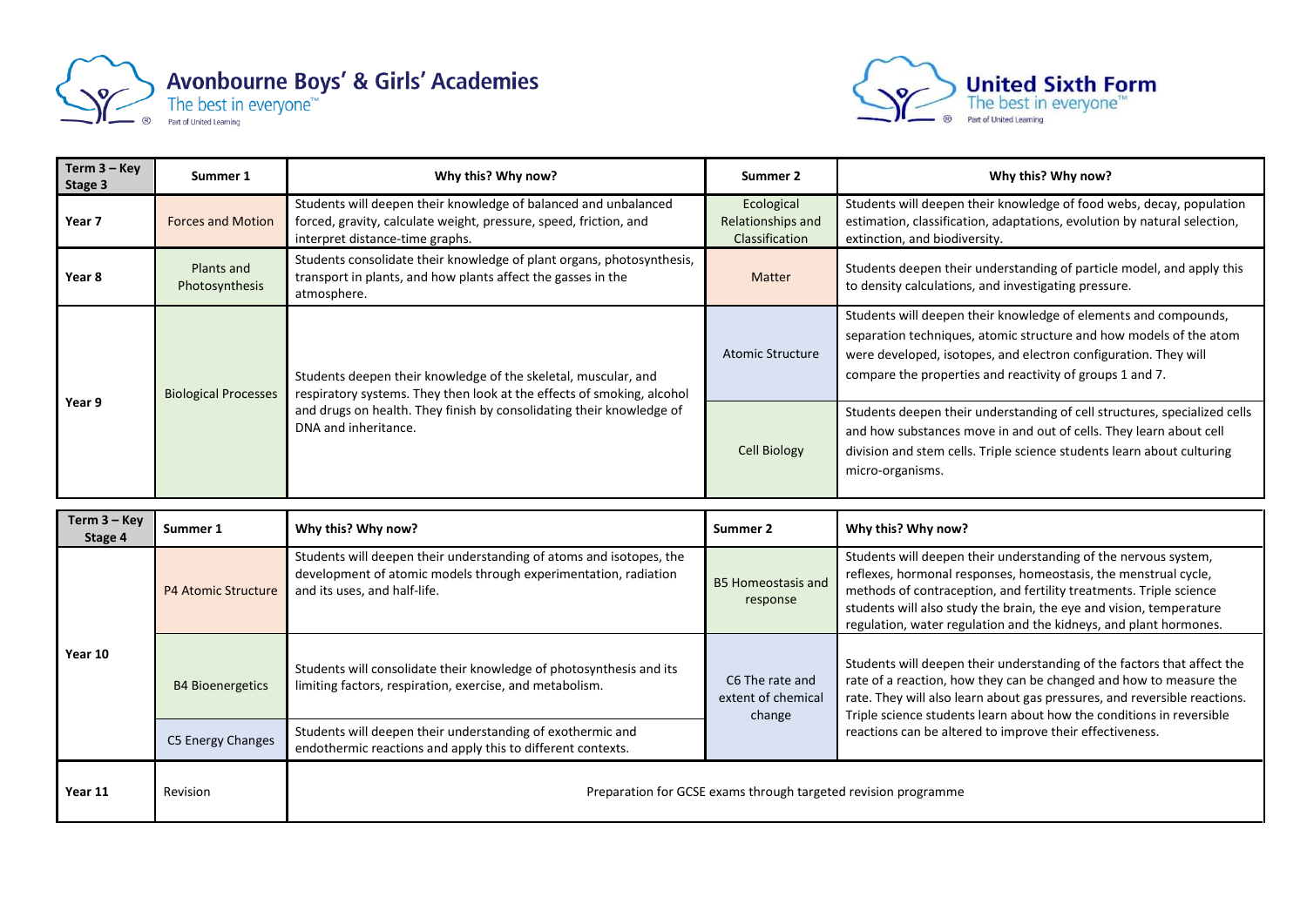



| Term $3 - Key$<br>Stage 3 | Summer 1                     | Why this? Why now?                                                                                                                                                      | Summer 2                                          | Why this? Why now?                                                                                                                                                                                                                                                   |
|---------------------------|------------------------------|-------------------------------------------------------------------------------------------------------------------------------------------------------------------------|---------------------------------------------------|----------------------------------------------------------------------------------------------------------------------------------------------------------------------------------------------------------------------------------------------------------------------|
| Year 7                    | <b>Forces and Motion</b>     | Students will deepen their knowledge of balanced and unbalanced<br>forced, gravity, calculate weight, pressure, speed, friction, and<br>interpret distance-time graphs. | Ecological<br>Relationships and<br>Classification | Students will deepen their knowledge of food webs, decay, population<br>estimation, classification, adaptations, evolution by natural selection,<br>extinction, and biodiversity.                                                                                    |
| Year 8                    | Plants and<br>Photosynthesis | Students consolidate their knowledge of plant organs, photosynthesis,<br>transport in plants, and how plants affect the gasses in the<br>atmosphere.                    | <b>Matter</b>                                     | Students deepen their understanding of particle model, and apply this<br>to density calculations, and investigating pressure.                                                                                                                                        |
|                           | <b>Biological Processes</b>  | Students deepen their knowledge of the skeletal, muscular, and<br>respiratory systems. They then look at the effects of smoking, alcohol                                | <b>Atomic Structure</b>                           | Students will deepen their knowledge of elements and compounds,<br>separation techniques, atomic structure and how models of the atom<br>were developed, isotopes, and electron configuration. They will<br>compare the properties and reactivity of groups 1 and 7. |
| Year 9                    |                              | and drugs on health. They finish by consolidating their knowledge of<br>DNA and inheritance.                                                                            | <b>Cell Biology</b>                               | Students deepen their understanding of cell structures, specialized cells<br>and how substances move in and out of cells. They learn about cell<br>division and stem cells. Triple science students learn about culturing<br>micro-organisms.                        |

| Term $3 -$ Key<br>Stage 4 | Summer 1                   | Why this? Why now?                                                                                                                                                     | Summer 2                                        | Why this? Why now?                                                                                                                                                                                                                                                                                                                                   |
|---------------------------|----------------------------|------------------------------------------------------------------------------------------------------------------------------------------------------------------------|-------------------------------------------------|------------------------------------------------------------------------------------------------------------------------------------------------------------------------------------------------------------------------------------------------------------------------------------------------------------------------------------------------------|
|                           | <b>P4 Atomic Structure</b> | Students will deepen their understanding of atoms and isotopes, the<br>development of atomic models through experimentation, radiation<br>and its uses, and half-life. | <b>B5 Homeostasis and</b><br>response           | Students will deepen their understanding of the nervous system,<br>reflexes, hormonal responses, homeostasis, the menstrual cycle,<br>methods of contraception, and fertility treatments. Triple science<br>students will also study the brain, the eye and vision, temperature<br>regulation, water regulation and the kidneys, and plant hormones. |
| Year 10                   | <b>B4 Bioenergetics</b>    | Students will consolidate their knowledge of photosynthesis and its<br>limiting factors, respiration, exercise, and metabolism.                                        | C6 The rate and<br>extent of chemical<br>change | Students will deepen their understanding of the factors that affect the<br>rate of a reaction, how they can be changed and how to measure the<br>rate. They will also learn about gas pressures, and reversible reactions.<br>Triple science students learn about how the conditions in reversible                                                   |
|                           | C5 Energy Changes          | Students will deepen their understanding of exothermic and<br>endothermic reactions and apply this to different contexts.                                              |                                                 | reactions can be altered to improve their effectiveness.                                                                                                                                                                                                                                                                                             |
| Year 11                   | Revision                   | Preparation for GCSE exams through targeted revision programme                                                                                                         |                                                 |                                                                                                                                                                                                                                                                                                                                                      |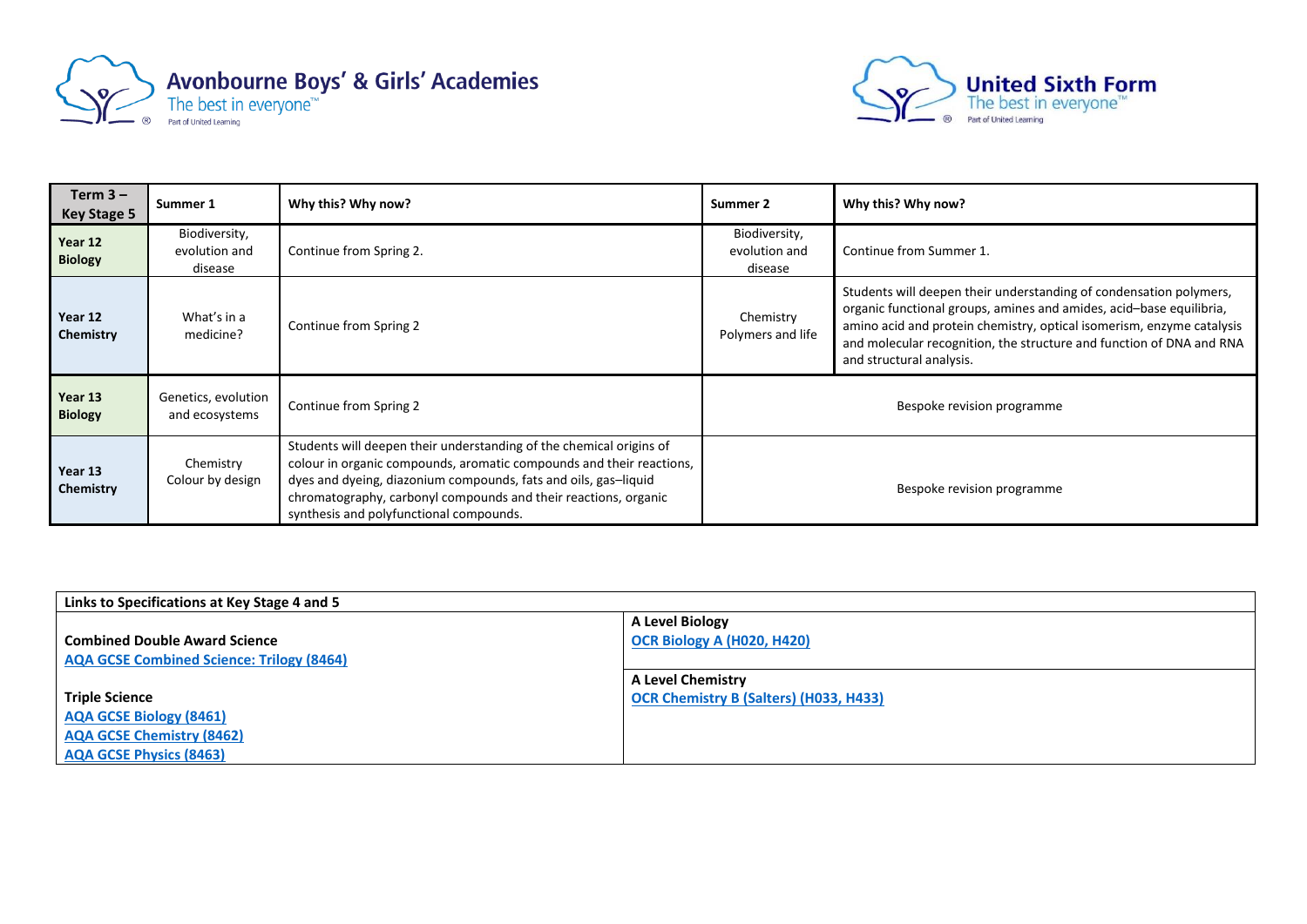



| Term $3 -$<br><b>Key Stage 5</b> | Summer 1                                  | Why this? Why now?                                                                                                                                                                                                                                                                                                           | Summer 2                                  | Why this? Why now?                                                                                                                                                                                                                                                                                                     |
|----------------------------------|-------------------------------------------|------------------------------------------------------------------------------------------------------------------------------------------------------------------------------------------------------------------------------------------------------------------------------------------------------------------------------|-------------------------------------------|------------------------------------------------------------------------------------------------------------------------------------------------------------------------------------------------------------------------------------------------------------------------------------------------------------------------|
| Year 12<br><b>Biology</b>        | Biodiversity,<br>evolution and<br>disease | Continue from Spring 2.                                                                                                                                                                                                                                                                                                      | Biodiversity,<br>evolution and<br>disease | Continue from Summer 1.                                                                                                                                                                                                                                                                                                |
| Year 12<br>Chemistry             | What's in a<br>medicine?                  | Continue from Spring 2                                                                                                                                                                                                                                                                                                       | Chemistry<br>Polymers and life            | Students will deepen their understanding of condensation polymers,<br>organic functional groups, amines and amides, acid-base equilibria,<br>amino acid and protein chemistry, optical isomerism, enzyme catalysis<br>and molecular recognition, the structure and function of DNA and RNA<br>and structural analysis. |
| Year 13<br><b>Biology</b>        | Genetics, evolution<br>and ecosystems     | Continue from Spring 2                                                                                                                                                                                                                                                                                                       | Bespoke revision programme                |                                                                                                                                                                                                                                                                                                                        |
| Year 13<br>Chemistry             | Chemistry<br>Colour by design             | Students will deepen their understanding of the chemical origins of<br>colour in organic compounds, aromatic compounds and their reactions,<br>dyes and dyeing, diazonium compounds, fats and oils, gas-liquid<br>chromatography, carbonyl compounds and their reactions, organic<br>synthesis and polyfunctional compounds. | Bespoke revision programme                |                                                                                                                                                                                                                                                                                                                        |

| Links to Specifications at Key Stage 4 and 5     |                                               |  |  |  |
|--------------------------------------------------|-----------------------------------------------|--|--|--|
|                                                  | <b>A Level Biology</b>                        |  |  |  |
| <b>Combined Double Award Science</b>             | <b>OCR Biology A (H020, H420)</b>             |  |  |  |
| <b>AQA GCSE Combined Science: Trilogy (8464)</b> |                                               |  |  |  |
|                                                  | <b>A Level Chemistry</b>                      |  |  |  |
| <b>Triple Science</b>                            | <b>OCR Chemistry B (Salters) (H033, H433)</b> |  |  |  |
| <b>AQA GCSE Biology (8461)</b>                   |                                               |  |  |  |
| <b>AQA GCSE Chemistry (8462)</b>                 |                                               |  |  |  |
| <b>AQA GCSE Physics (8463)</b>                   |                                               |  |  |  |